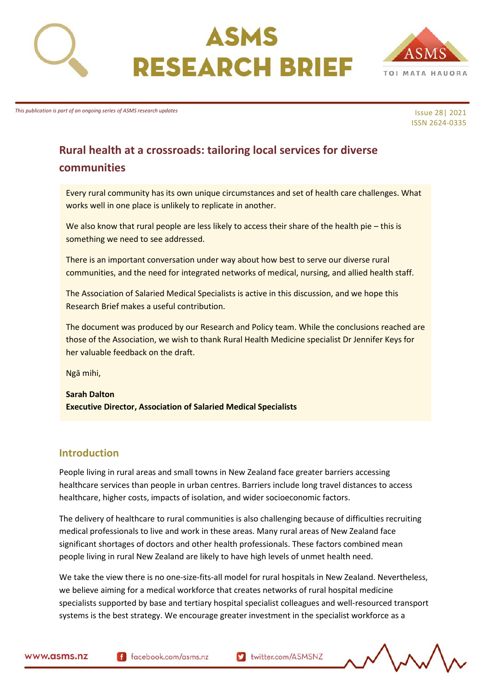



*This publication is part of an ongoing series of ASMS research updates*

Issue 28| 2021 ISSN 2624-0335

# **Rural health at a crossroads: tailoring local services for diverse communities**

Every rural community has its own unique circumstances and set of health care challenges. What works well in one place is unlikely to replicate in another.

We also know that rural people are less likely to access their share of the health pie – this is something we need to see addressed.

There is an important conversation under way about how best to serve our diverse rural communities, and the need for integrated networks of medical, nursing, and allied health staff.

The Association of Salaried Medical Specialists is active in this discussion, and we hope this Research Brief makes a useful contribution.

The document was produced by our Research and Policy team. While the conclusions reached are those of the Association, we wish to thank Rural Health Medicine specialist Dr Jennifer Keys for her valuable feedback on the draft.

Ngā mihi,

**Sarah Dalton Executive Director, Association of Salaried Medical Specialists**

#### **Introduction**

People living in rural areas and small towns in New Zealand face greater barriers accessing healthcare services than people in urban centres. Barriers include long travel distances to access healthcare, higher costs, impacts of isolation, and wider socioeconomic factors.

The delivery of healthcare to rural communities is also challenging because of difficulties recruiting medical professionals to live and work in these areas. Many rural areas of New Zealand face significant shortages of doctors and other health professionals. These factors combined mean people living in rural New Zealand are likely to have high levels of unmet health need.

We take the view there is no one-size-fits-all model for rural hospitals in New Zealand. Nevertheless, we believe aiming for a medical workforce that creates networks of rural hospital medicine specialists supported by base and tertiary hospital specialist colleagues and well-resourced transport systems is the best strategy. We encourage greater investment in the specialist workforce as a

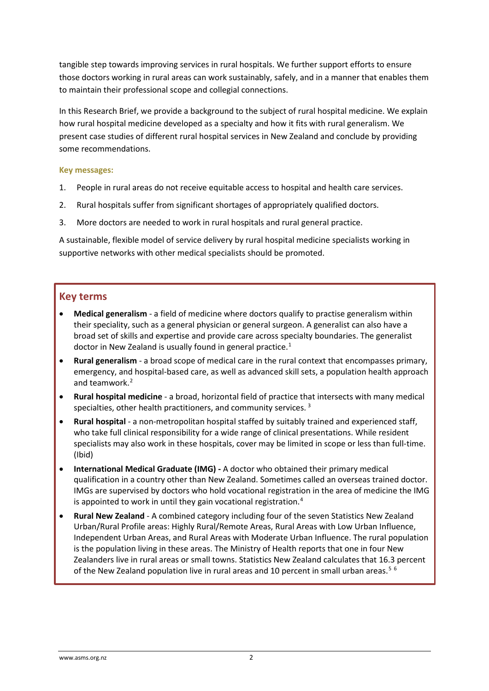tangible step towards improving services in rural hospitals. We further support efforts to ensure those doctors working in rural areas can work sustainably, safely, and in a manner that enables them to maintain their professional scope and collegial connections.

In this Research Brief, we provide a background to the subject of rural hospital medicine. We explain how rural hospital medicine developed as a specialty and how it fits with rural generalism. We present case studies of different rural hospital services in New Zealand and conclude by providing some recommendations.

#### **Key messages:**

- 1. People in rural areas do not receive equitable access to hospital and health care services.
- 2. Rural hospitals suffer from significant shortages of appropriately qualified doctors.
- 3. More doctors are needed to work in rural hospitals and rural general practice.

A sustainable, flexible model of service delivery by rural hospital medicine specialists working in supportive networks with other medical specialists should be promoted.

### **Key terms**

- **Medical generalism** a field of medicine where doctors qualify to practise generalism within their speciality, such as a general physician or general surgeon. A generalist can also have a broad set of skills and expertise and provide care across specialty boundaries. The generalist doctor in New Zealand is usually found in general practice.<sup>[1](#page-12-0)</sup>
- **Rural generalism** a broad scope of medical care in the rural context that encompasses primary, emergency, and hospital-based care, as well as advanced skill sets, a population health approach and teamwork.<sup>[2](#page-12-1)</sup>
- **Rural hospital medicine** a broad, horizontal field of practice that intersects with many medical specialties, other health practitioners, and community services.<sup>[3](#page-12-2)</sup>
- **Rural hospital** a non-metropolitan hospital staffed by suitably trained and experienced staff, who take full clinical responsibility for a wide range of clinical presentations. While resident specialists may also work in these hospitals, cover may be limited in scope or less than full-time. (Ibid)
- **International Medical Graduate (IMG) -** A doctor who obtained their primary medical qualification in a country other than New Zealand. Sometimes called an overseas trained doctor. IMGs are supervised by doctors who hold vocational registration in the area of medicine the IMG is appointed to work in until they gain vocational registration.<sup>[4](#page-12-3)</sup>
- **Rural New Zealand** A combined category including four of the seven Statistics New Zealand Urban/Rural Profile areas: Highly Rural/Remote Areas, Rural Areas with Low Urban Influence, Independent Urban Areas, and Rural Areas with Moderate Urban Influence. The rural population is the population living in these areas. The Ministry of Health reports that one in four New Zealanders live in rural areas or small towns. Statistics New Zealand calculates that 16.3 percent of the New Zealand population live in rural areas and 10 percent in small urban areas.<sup>[5](#page-12-4)[6](#page-12-5)</sup>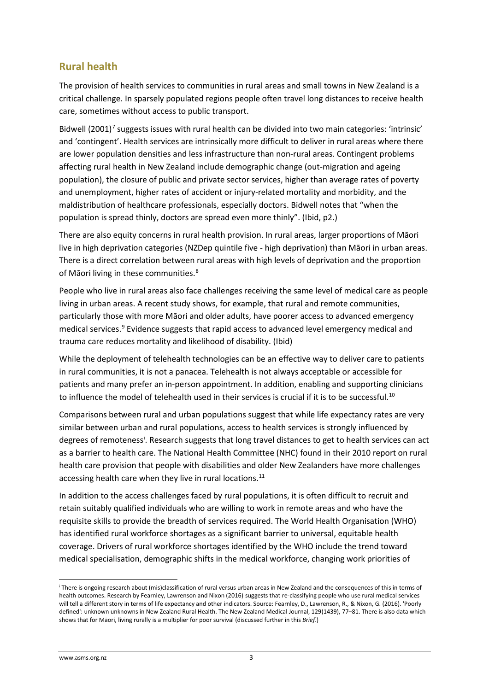# **Rural health**

The provision of health services to communities in rural areas and small towns in New Zealand is a critical challenge. In sparsely populated regions people often travel long distances to receive health care, sometimes without access to public transport.

Bidwell  $(2001)^7$  $(2001)^7$  suggests issues with rural health can be divided into two main categories: 'intrinsic' and 'contingent'. Health services are intrinsically more difficult to deliver in rural areas where there are lower population densities and less infrastructure than non-rural areas. Contingent problems affecting rural health in New Zealand include demographic change (out-migration and ageing population), the closure of public and private sector services, higher than average rates of poverty and unemployment, higher rates of accident or injury-related mortality and morbidity, and the maldistribution of healthcare professionals, especially doctors. Bidwell notes that "when the population is spread thinly, doctors are spread even more thinly". (Ibid, p2.)

There are also equity concerns in rural health provision. In rural areas, larger proportions of Māori live in high deprivation categories (NZDep quintile five - high deprivation) than Māori in urban areas. There is a direct correlation between rural areas with high levels of deprivation and the proportion of Māori living in these communities.<sup>[8](#page-13-1)</sup>

People who live in rural areas also face challenges receiving the same level of medical care as people living in urban areas. A recent study shows, for example, that rural and remote communities, particularly those with more Māori and older adults, have poorer access to advanced emergency medical services. [9](#page-13-2) Evidence suggests that rapid access to advanced level emergency medical and trauma care reduces mortality and likelihood of disability. (Ibid)

While the deployment of telehealth technologies can be an effective way to deliver care to patients in rural communities, it is not a panacea. Telehealth is not always acceptable or accessible for patients and many prefer an in-person appointment. In addition, enabling and supporting clinicians to influence the model of telehealth used in their services is crucial if it is to be successful.<sup>[10](#page-13-3)</sup>

Comparisons between rural and urban populations suggest that while life expectancy rates are very similar between urban and rural populations, access to health services is strongly influenced by degrees of remoteness<sup>[i](#page-2-0)</sup>. Research suggests that long travel distances to get to health services can act as a barrier to health care. The National Health Committee (NHC) found in their 2010 report on rural health care provision that people with disabilities and older New Zealanders have more challenges accessing health care when they live in rural locations.<sup>[11](#page-13-4)</sup>

In addition to the access challenges faced by rural populations, it is often difficult to recruit and retain suitably qualified individuals who are willing to work in remote areas and who have the requisite skills to provide the breadth of services required. The World Health Organisation (WHO) has identified rural workforce shortages as a significant barrier to universal, equitable health coverage. Drivers of rural workforce shortages identified by the WHO include the trend toward medical specialisation, demographic shifts in the medical workforce, changing work priorities of

<span id="page-2-0"></span><sup>i</sup> There is ongoing research about (mis)classification of rural versus urban areas in New Zealand and the consequences of this in terms of health outcomes. Research by Fearnley, Lawrenson and Nixon (2016) suggests that re-classifying people who use rural medical services will tell a different story in terms of life expectancy and other indicators. Source: Fearnley, D., Lawrenson, R., & Nixon, G. (2016). 'Poorly defined': unknown unknowns in New Zealand Rural Health. The New Zealand Medical Journal, 129(1439), 77–81. There is also data which shows that for Māori, living rurally is a multiplier for poor survival (discussed further in this *Brief*.)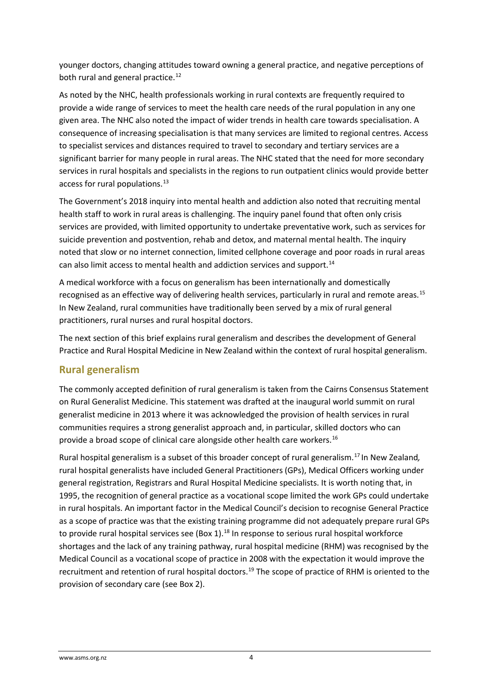younger doctors, changing attitudes toward owning a general practice, and negative perceptions of both rural and general practice.<sup>[12](#page-14-0)</sup>

As noted by the NHC, health professionals working in rural contexts are frequently required to provide a wide range of services to meet the health care needs of the rural population in any one given area. The NHC also noted the impact of wider trends in health care towards specialisation. A consequence of increasing specialisation is that many services are limited to regional centres. Access to specialist services and distances required to travel to secondary and tertiary services are a significant barrier for many people in rural areas. The NHC stated that the need for more secondary services in rural hospitals and specialists in the regions to run outpatient clinics would provide better access for rural populations.<sup>[13](#page-14-1)</sup>

The Government's 2018 inquiry into mental health and addiction also noted that recruiting mental health staff to work in rural areas is challenging. The inquiry panel found that often only crisis services are provided, with limited opportunity to undertake preventative work, such as services for suicide prevention and postvention, rehab and detox, and maternal mental health. The inquiry noted that *s*low or no internet connection, limited cellphone coverage and poor roads in rural areas can also limit access to mental health and addiction services and support.<sup>[14](#page-14-2)</sup>

A medical workforce with a focus on generalism has been internationally and domestically recognised as an effective way of delivering health services, particularly in rural and remote areas.<sup>[15](#page-14-3)</sup> In New Zealand, rural communities have traditionally been served by a mix of rural general practitioners, rural nurses and rural hospital doctors.

The next section of this brief explains rural generalism and describes the development of General Practice and Rural Hospital Medicine in New Zealand within the context of rural hospital generalism.

# **Rural generalism**

The commonly accepted definition of rural generalism is taken from the Cairns Consensus Statement on Rural Generalist Medicine. This statement was drafted at the inaugural world summit on rural generalist medicine in 2013 where it was acknowledged the provision of health services in rural communities requires a strong generalist approach and, in particular, skilled doctors who can provide a broad scope of clinical care alongside other health care workers.<sup>[16](#page-14-4)</sup>

Rural hospital generalism is a subset of this broader concept of rural generalism.[17](#page-14-5) In New Zealand*,*  rural hospital generalists have included General Practitioners (GPs), Medical Officers working under general registration, Registrars and Rural Hospital Medicine specialists. It is worth noting that, in 1995, the recognition of general practice as a vocational scope limited the work GPs could undertake in rural hospitals. An important factor in the Medical Council's decision to recognise General Practice as a scope of practice was that the existing training programme did not adequately prepare rural GPs to provide rural hospital services see (Box 1).<sup>[18](#page-14-6)</sup> In response to serious rural hospital workforce shortages and the lack of any training pathway, rural hospital medicine (RHM) was recognised by the Medical Council as a vocational scope of practice in 2008 with the expectation it would improve the recruitment and retention of rural hospital doctors.<sup>[19](#page-14-7)</sup> The scope of practice of RHM is oriented to the provision of secondary care (see Box 2).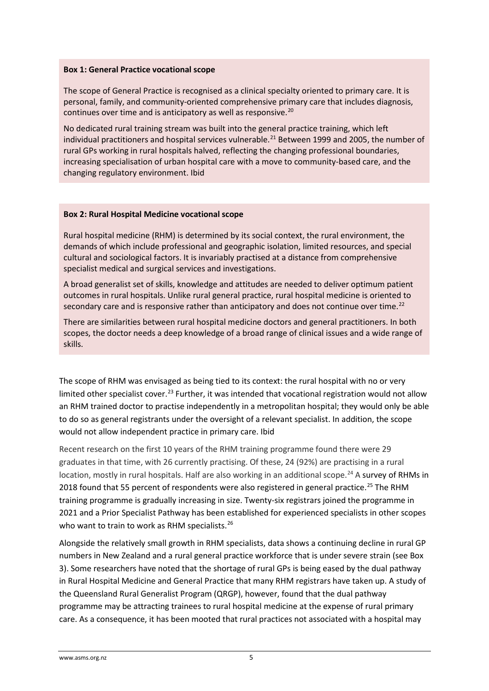#### **Box 1: General Practice vocational scope**

The scope of General Practice is recognised as a clinical specialty oriented to primary care. It is personal, family, and community-oriented comprehensive primary care that includes diagnosis, continues over time and is anticipatory as well as responsive.<sup>[20](#page-14-8)</sup>

No dedicated rural training stream was built into the general practice training, which left individual practitioners and hospital services vulnerable.<sup>[21](#page-14-9)</sup> Between 1999 and 2005, the number of rural GPs working in rural hospitals halved, reflecting the changing professional boundaries, increasing specialisation of urban hospital care with a move to community-based care, and the changing regulatory environment. Ibid

#### **Box 2: Rural Hospital Medicine vocational scope**

Rural hospital medicine (RHM) is determined by its social context, the rural environment, the demands of which include professional and geographic isolation, limited resources, and special cultural and sociological factors. It is invariably practised at a distance from comprehensive specialist medical and surgical services and investigations.

A broad generalist set of skills, knowledge and attitudes are needed to deliver optimum patient outcomes in rural hospitals. Unlike rural general practice, rural hospital medicine is oriented to secondary care and is responsive rather than anticipatory and does not continue over time. $^{22}$  $^{22}$  $^{22}$ 

There are similarities between rural hospital medicine doctors and general practitioners. In both scopes, the doctor needs a deep knowledge of a broad range of clinical issues and a wide range of skills.

The scope of RHM was envisaged as being tied to its context: the rural hospital with no or very limited other specialist cover.<sup>[23](#page-14-11)</sup> Further, it was intended that vocational registration would not allow an RHM trained doctor to practise independently in a metropolitan hospital; they would only be able to do so as general registrants under the oversight of a relevant specialist. In addition, the scope would not allow independent practice in primary care. Ibid

Recent research on the first 10 years of the RHM training programme found there were 29 graduates in that time, with 26 currently practising. Of these, 24 (92%) are practising in a rural location, mostly in rural hospitals. Half are also working in an additional scope.<sup>[24](#page-14-12)</sup> A survey of RHMs in 2018 found that 55 percent of respondents were also registered in general practice.<sup>[25](#page-14-13)</sup> The RHM training programme is gradually increasing in size. Twenty-six registrars joined the programme in 2021 and a Prior Specialist Pathway has been established for experienced specialists in other scopes who want to train to work as RHM specialists.<sup>[26](#page-14-14)</sup>

Alongside the relatively small growth in RHM specialists, data shows a continuing decline in rural GP numbers in New Zealand and a rural general practice workforce that is under severe strain (see Box 3). Some researchers have noted that the shortage of rural GPs is being eased by the dual pathway in Rural Hospital Medicine and General Practice that many RHM registrars have taken up. A study of the Queensland Rural Generalist Program (QRGP), however, found that the dual pathway programme may be attracting trainees to rural hospital medicine at the expense of rural primary care. As a consequence, it has been mooted that rural practices not associated with a hospital may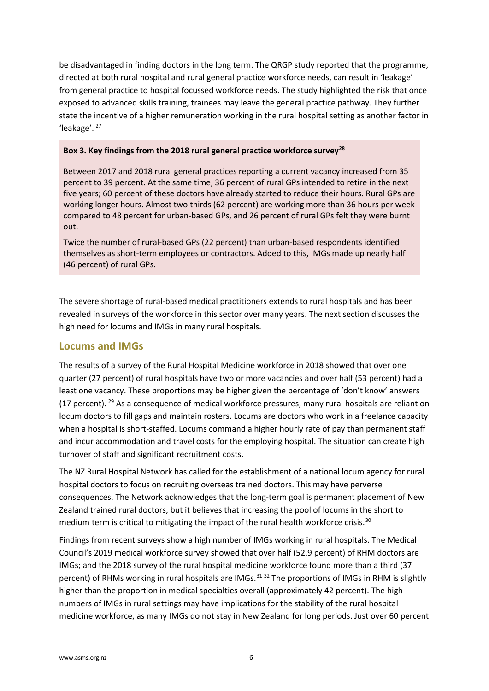be disadvantaged in finding doctors in the long term. The QRGP study reported that the programme, directed at both rural hospital and rural general practice workforce needs, can result in 'leakage' from general practice to hospital focussed workforce needs. The study highlighted the risk that once exposed to advanced skills training, trainees may leave the general practice pathway. They further state the incentive of a higher remuneration working in the rural hospital setting as another factor in 'leakage'. [27](#page-14-15)

#### **Box 3. Key findings from the 2018 rural general practice workforce survey[28](#page-14-16)**

Between 2017 and 2018 rural general practices reporting a current vacancy increased from 35 percent to 39 percent. At the same time, 36 percent of rural GPs intended to retire in the next five years; 60 percent of these doctors have already started to reduce their hours. Rural GPs are working longer hours. Almost two thirds (62 percent) are working more than 36 hours per week compared to 48 percent for urban-based GPs, and 26 percent of rural GPs felt they were burnt out.

Twice the number of rural-based GPs (22 percent) than urban-based respondents identified themselves as short-term employees or contractors. Added to this, IMGs made up nearly half (46 percent) of rural GPs.

The severe shortage of rural-based medical practitioners extends to rural hospitals and has been revealed in surveys of the workforce in this sector over many years. The next section discusses the high need for locums and IMGs in many rural hospitals.

### **Locums and IMGs**

The results of a survey of the Rural Hospital Medicine workforce in 2018 showed that over one quarter (27 percent) of rural hospitals have two or more vacancies and over half (53 percent) had a least one vacancy. These proportions may be higher given the percentage of 'don't know' answers (17 percent). <sup>[29](#page-14-17)</sup> As a consequence of medical workforce pressures, many rural hospitals are reliant on locum doctors to fill gaps and maintain rosters. Locums are doctors who work in a freelance capacity when a hospital is short-staffed. Locums command a higher hourly rate of pay than permanent staff and incur accommodation and travel costs for the employing hospital. The situation can create high turnover of staff and significant recruitment costs.

The NZ Rural Hospital Network has called for the establishment of a national locum agency for rural hospital doctors to focus on recruiting overseas trained doctors. This may have perverse consequences. The Network acknowledges that the long-term goal is permanent placement of New Zealand trained rural doctors, but it believes that increasing the pool of locums in the short to medium term is critical to mitigating the impact of the rural health workforce crisis.<sup>[30](#page-14-18)</sup>

Findings from recent surveys show a high number of IMGs working in rural hospitals. The Medical Council's 2019 medical workforce survey showed that over half (52.9 percent) of RHM doctors are IMGs; and the 2018 survey of the rural hospital medicine workforce found more than a third (37 percent) of RHMs working in rural hospitals are IMGs.<sup>[31](#page-14-19) [32](#page-14-20)</sup> The proportions of IMGs in RHM is slightly higher than the proportion in medical specialties overall (approximately 42 percent). The high numbers of IMGs in rural settings may have implications for the stability of the rural hospital medicine workforce, as many IMGs do not stay in New Zealand for long periods. Just over 60 percent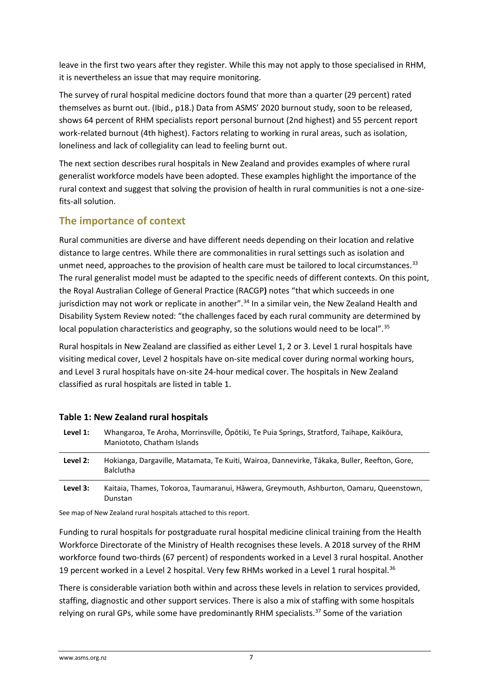leave in the first two years after they register. While this may not apply to those specialised in RHM, it is nevertheless an issue that may require monitoring.

The survey of rural hospital medicine doctors found that more than a quarter (29 percent) rated themselves as burnt out. (Ibid., p18.) Data from ASMS' 2020 burnout study, soon to be released, shows 64 percent of RHM specialists report personal burnout (2nd highest) and 55 percent report work-related burnout (4th highest). Factors relating to working in rural areas, such as isolation, loneliness and lack of collegiality can lead to feeling burnt out.

The next section describes rural hospitals in New Zealand and provides examples of where rural generalist workforce models have been adopted. These examples highlight the importance of the rural context and suggest that solving the provision of health in rural communities is not a one-sizefits-all solution.

# **The importance of context**

Rural communities are diverse and have different needs depending on their location and relative distance to large centres. While there are commonalities in rural settings such as isolation and unmet need, approaches to the provision of health care must be tailored to local circumstances.<sup>[33](#page-14-21)</sup> The rural generalist model must be adapted to the specific needs of different contexts. On this point, the Royal Australian College of General Practice (RACGP**)** notes "that which succeeds in one jurisdiction may not work or replicate in another".<sup>[34](#page-14-22)</sup> In a similar vein, the New Zealand Health and Disability System Review noted: "the challenges faced by each rural community are determined by local population characteristics and geography, so the solutions would need to be local".<sup>[35](#page-14-23)</sup>

Rural hospitals in New Zealand are classified as either Level 1, 2 or 3. Level 1 rural hospitals have visiting medical cover, Level 2 hospitals have on-site medical cover during normal working hours, and Level 3 rural hospitals have on-site 24-hour medical cover. The hospitals in New Zealand classified as rural hospitals are listed in table 1.

| Level 1: | Whangaroa, Te Aroha, Morrinsville, Ōpōtiki, Te Puia Springs, Stratford, Taihape, Kaikōura,<br>Maniototo, Chatham Islands |  |
|----------|--------------------------------------------------------------------------------------------------------------------------|--|
| Level 2: | Hokianga, Dargaville, Matamata, Te Kuiti, Wairoa, Dannevirke, Tākaka, Buller, Reefton, Gore,<br><b>Balclutha</b>         |  |
| Level 3: | Kaitaia, Thames, Tokoroa, Taumaranui, Hāwera, Greymouth, Ashburton, Oamaru, Queenstown,<br>Dunstan                       |  |

#### **Table 1: New Zealand rural hospitals**

See map of New Zealand rural hospitals attached to this report.

Funding to rural hospitals for postgraduate rural hospital medicine clinical training from the Health Workforce Directorate of the Ministry of Health recognises these levels. A 2018 survey of the RHM workforce found two-thirds (67 percent) of respondents worked in a Level 3 rural hospital. Another 19 percent worked in a Level 2 hospital. Very few RHMs worked in a Level 1 rural hospital.<sup>36</sup>

There is considerable variation both within and across these levels in relation to services provided, staffing, diagnostic and other support services. There is also a mix of staffing with some hospitals relying on rural GPs, while some have predominantly RHM specialists.<sup>[37](#page-14-25)</sup> Some of the variation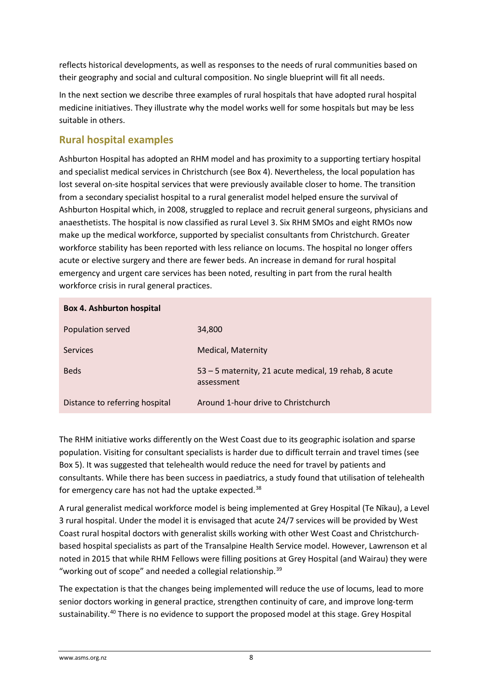reflects historical developments, as well as responses to the needs of rural communities based on their geography and social and cultural composition. No single blueprint will fit all needs.

In the next section we describe three examples of rural hospitals that have adopted rural hospital medicine initiatives. They illustrate why the model works well for some hospitals but may be less suitable in others.

### **Rural hospital examples**

Ashburton Hospital has adopted an RHM model and has proximity to a supporting tertiary hospital and specialist medical services in Christchurch (see Box 4). Nevertheless, the local population has lost several on-site hospital services that were previously available closer to home. The transition from a secondary specialist hospital to a rural generalist model helped ensure the survival of Ashburton Hospital which, in 2008, struggled to replace and recruit general surgeons, physicians and anaesthetists. The hospital is now classified as rural Level 3. Six RHM SMOs and eight RMOs now make up the medical workforce, supported by specialist consultants from Christchurch. Greater workforce stability has been reported with less reliance on locums. The hospital no longer offers acute or elective surgery and there are fewer beds. An increase in demand for rural hospital emergency and urgent care services has been noted, resulting in part from the rural health workforce crisis in rural general practices.

| <b>Box 4. Ashburton hospital</b> |                                                                     |  |  |  |
|----------------------------------|---------------------------------------------------------------------|--|--|--|
| Population served                | 34,800                                                              |  |  |  |
| <b>Services</b>                  | <b>Medical, Maternity</b>                                           |  |  |  |
| <b>Beds</b>                      | 53 – 5 maternity, 21 acute medical, 19 rehab, 8 acute<br>assessment |  |  |  |
| Distance to referring hospital   | Around 1-hour drive to Christchurch                                 |  |  |  |

The RHM initiative works differently on the West Coast due to its geographic isolation and sparse population. Visiting for consultant specialists is harder due to difficult terrain and travel times (see Box 5). It was suggested that telehealth would reduce the need for travel by patients and consultants. While there has been success in paediatrics, a study found that utilisation of telehealth for emergency care has not had the uptake expected.<sup>[38](#page-14-26)</sup>

A rural generalist medical workforce model is being implemented at Grey Hospital (Te Nīkau), a Level 3 rural hospital. Under the model it is envisaged that acute 24/7 services will be provided by West Coast rural hospital doctors with generalist skills working with other West Coast and Christchurchbased hospital specialists as part of the Transalpine Health Service model. However, Lawrenson et al noted in 2015 that while RHM Fellows were filling positions at Grey Hospital (and Wairau) they were "working out of scope" and needed a collegial relationship. $39$ 

The expectation is that the changes being implemented will reduce the use of locums, lead to more senior doctors working in general practice, strengthen continuity of care, and improve long-term sustainability.<sup>[40](#page-14-28)</sup> There is no evidence to support the proposed model at this stage. Grey Hospital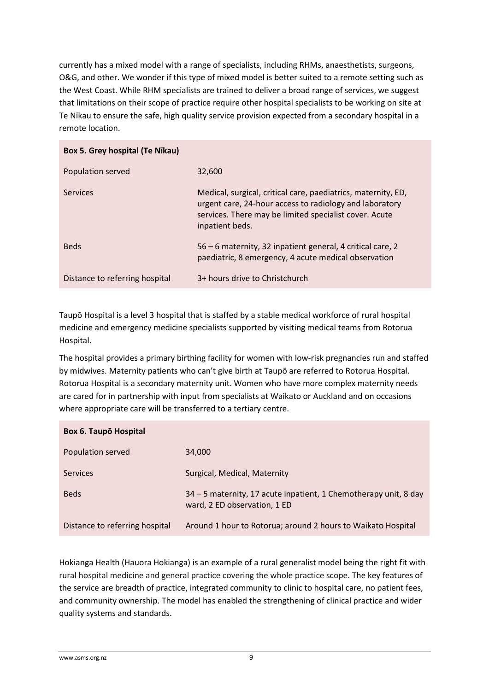currently has a mixed model with a range of specialists, including RHMs, anaesthetists, surgeons, O&G, and other. We wonder if this type of mixed model is better suited to a remote setting such as the West Coast. While RHM specialists are trained to deliver a broad range of services, we suggest that limitations on their scope of practice require other hospital specialists to be working on site at Te Nīkau to ensure the safe, high quality service provision expected from a secondary hospital in a remote location.

| Box 5. Grey hospital (Te Nīkau) |                                                                                                                                                                                                       |  |  |  |
|---------------------------------|-------------------------------------------------------------------------------------------------------------------------------------------------------------------------------------------------------|--|--|--|
| Population served               | 32,600                                                                                                                                                                                                |  |  |  |
| Services                        | Medical, surgical, critical care, paediatrics, maternity, ED,<br>urgent care, 24-hour access to radiology and laboratory<br>services. There may be limited specialist cover. Acute<br>inpatient beds. |  |  |  |
| <b>Beds</b>                     | 56 – 6 maternity, 32 inpatient general, 4 critical care, 2<br>paediatric, 8 emergency, 4 acute medical observation                                                                                    |  |  |  |
| Distance to referring hospital  | 3+ hours drive to Christchurch                                                                                                                                                                        |  |  |  |

Taupō Hospital is a level 3 hospital that is staffed by a stable medical workforce of rural hospital medicine and emergency medicine specialists supported by visiting medical teams from Rotorua Hospital.

The hospital provides a primary birthing facility for women with low-risk pregnancies run and staffed by midwives. Maternity patients who can't give birth at Taupō are referred to Rotorua Hospital. Rotorua Hospital is a secondary maternity unit. Women who have more complex maternity needs are cared for in partnership with input from specialists at Waikato or Auckland and on occasions where appropriate care will be transferred to a tertiary centre.

| <b>Box 6. Taupo Hospital</b>   |                                                                                                  |  |  |  |
|--------------------------------|--------------------------------------------------------------------------------------------------|--|--|--|
| Population served              | 34,000                                                                                           |  |  |  |
| <b>Services</b>                | Surgical, Medical, Maternity                                                                     |  |  |  |
| <b>Beds</b>                    | 34 – 5 maternity, 17 acute inpatient, 1 Chemotherapy unit, 8 day<br>ward, 2 ED observation, 1 ED |  |  |  |
| Distance to referring hospital | Around 1 hour to Rotorua; around 2 hours to Waikato Hospital                                     |  |  |  |

Hokianga Health (Hauora Hokianga) is an example of a rural generalist model being the right fit with rural hospital medicine and general practice covering the whole practice scope. The key features of the service are breadth of practice, integrated community to clinic to hospital care, no patient fees, and community ownership. The model has enabled the strengthening of clinical practice and wider quality systems and standards.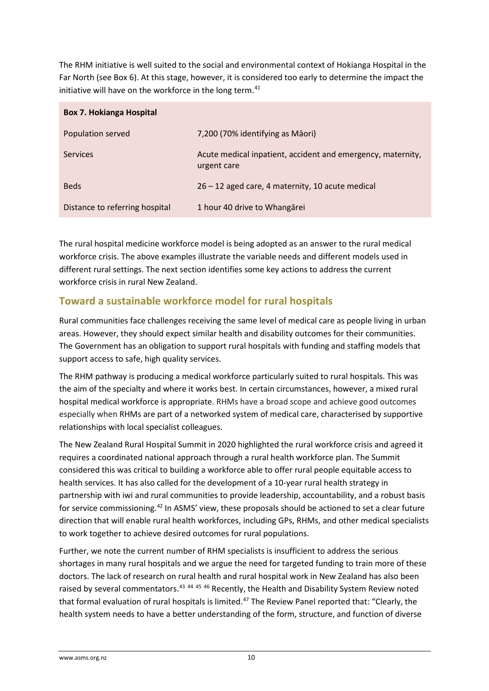The RHM initiative is well suited to the social and environmental context of Hokianga Hospital in the Far North (see Box 6). At this stage, however, it is considered too early to determine the impact the initiative will have on the workforce in the long term.<sup>[41](#page-14-9)</sup>

| <b>Box 7. Hokianga Hospital</b> |                                                                            |  |  |  |
|---------------------------------|----------------------------------------------------------------------------|--|--|--|
| Population served               | 7,200 (70% identifying as Māori)                                           |  |  |  |
| <b>Services</b>                 | Acute medical inpatient, accident and emergency, maternity,<br>urgent care |  |  |  |
| <b>Beds</b>                     | 26 - 12 aged care, 4 maternity, 10 acute medical                           |  |  |  |
| Distance to referring hospital  | 1 hour 40 drive to Whangarei                                               |  |  |  |

The rural hospital medicine workforce model is being adopted as an answer to the rural medical workforce crisis. The above examples illustrate the variable needs and different models used in different rural settings. The next section identifies some key actions to address the current workforce crisis in rural New Zealand.

# **Toward a sustainable workforce model for rural hospitals**

Rural communities face challenges receiving the same level of medical care as people living in urban areas. However, they should expect similar health and disability outcomes for their communities. The Government has an obligation to support rural hospitals with funding and staffing models that support access to safe, high quality services.

The RHM pathway is producing a medical workforce particularly suited to rural hospitals. This was the aim of the specialty and where it works best. In certain circumstances, however, a mixed rural hospital medical workforce is appropriate. RHMs have a broad scope and achieve good outcomes especially when RHMs are part of a networked system of medical care, characterised by supportive relationships with local specialist colleagues.

The New Zealand Rural Hospital Summit in 2020 highlighted the rural workforce crisis and agreed it requires a coordinated national approach through a rural health workforce plan. The Summit considered this was critical to building a workforce able to offer rural people equitable access to health services. It has also called for the development of a 10-year rural health strategy in partnership with iwi and rural communities to provide leadership, accountability, and a robust basis for service commissioning.<sup>[42](#page-14-10)</sup> In ASMS' view, these proposals should be actioned to set a clear future direction that will enable rural health workforces, including GPs, RHMs, and other medical specialists to work together to achieve desired outcomes for rural populations.

Further, we note the current number of RHM specialists is insufficient to address the serious shortages in many rural hospitals and we argue the need for targeted funding to train more of these doctors. The lack of research on rural health and rural hospital work in New Zealand has also been raised by several commentators.<sup>[43](#page-14-11) [44](#page-14-29) [45](#page-14-13) [46](#page-14-14)</sup> Recently, the Health and Disability System Review noted that formal evaluation of rural hospitals is limited.<sup>[47](#page-14-30)</sup> The Review Panel reported that: "Clearly, the health system needs to have a better understanding of the form, structure, and function of diverse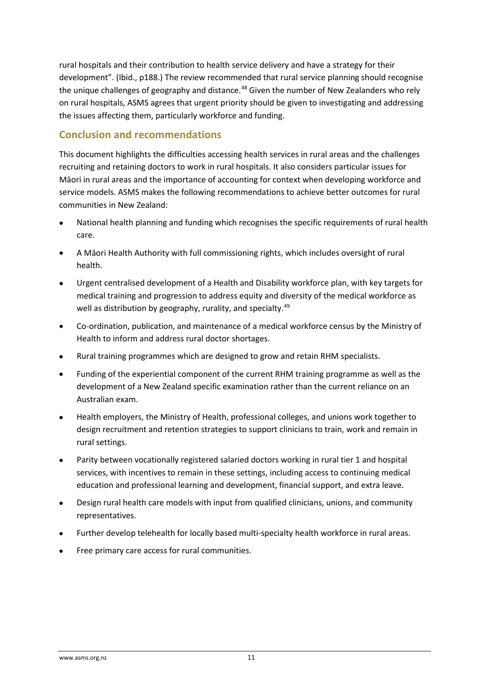rural hospitals and their contribution to health service delivery and have a strategy for their development". (Ibid., p188.) The review recommended that rural service planning should recognise the unique challenges of geography and distance.<sup>[48](#page-14-31)</sup> Given the number of New Zealanders who rely on rural hospitals, ASMS agrees that urgent priority should be given to investigating and addressing the issues affecting them, particularly workforce and funding.

### **Conclusion and recommendations**

This document highlights the difficulties accessing health services in rural areas and the challenges recruiting and retaining doctors to work in rural hospitals. It also considers particular issues for Māori in rural areas and the importance of accounting for context when developing workforce and service models. ASMS makes the following recommendations to achieve better outcomes for rural communities in New Zealand:

- National health planning and funding which recognises the specific requirements of rural health care.
- A Māori Health Authority with full commissioning rights, which includes oversight of rural health.
- Urgent centralised development of a Health and Disability workforce plan, with key targets for medical training and progression to address equity and diversity of the medical workforce as well as distribution by geography, rurality, and specialty.<sup>[49](#page-14-32)</sup>
- Co-ordination, publication, and maintenance of a medical workforce census by the Ministry of Health to inform and address rural doctor shortages.
- Rural training programmes which are designed to grow and retain RHM specialists.
- Funding of the experiential component of the current RHM training programme as well as the development of a New Zealand specific examination rather than the current reliance on an Australian exam.
- Health employers, the Ministry of Health, professional colleges, and unions work together to design recruitment and retention strategies to support clinicians to train, work and remain in rural settings.
- Parity between vocationally registered salaried doctors working in rural tier 1 and hospital services, with incentives to remain in these settings, including access to continuing medical education and professional learning and development, financial support, and extra leave.
- Design rural health care models with input from qualified clinicians, unions, and community representatives.
- Further develop telehealth for locally based multi-specialty health workforce in rural areas.
- Free primary care access for rural communities.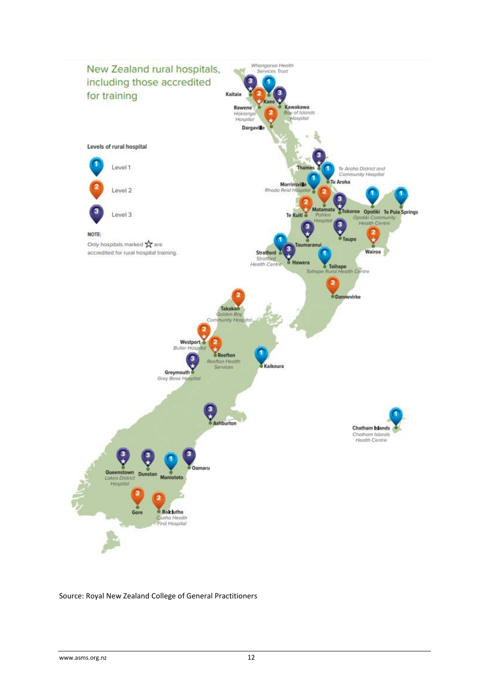

#### Source: Royal New Zealand College of General Practitioners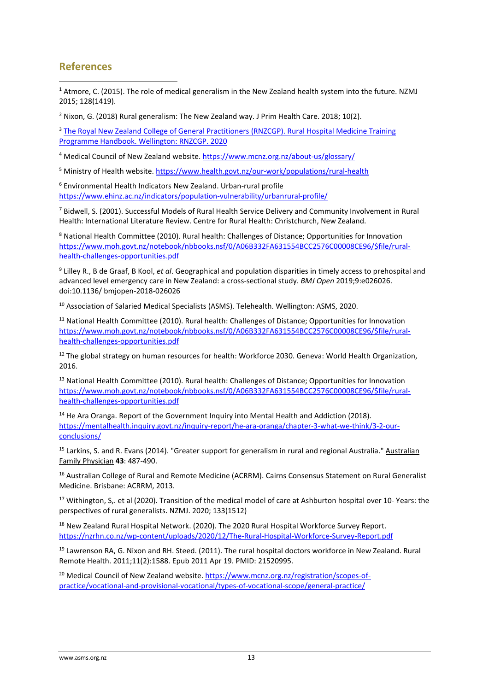### **References**

<span id="page-12-0"></span><sup>1</sup> Atmore, C. (2015). The role of medical generalism in the New Zealand health system into the future. NZMJ 2015; 128(1419).

<span id="page-12-1"></span><sup>2</sup> Nixon, G. (2018) Rural generalism: The New Zealand way. J Prim Health Care. 2018; 10(2).

<span id="page-12-2"></span><sup>3</sup> The Royal New Zealand College of General Practitioners (RNZCGP). Rural Hospital Medicine Training Programme Handbook. Wellington: RNZCGP. 2020

<span id="page-12-3"></span><sup>4</sup> Medical Council of New Zealand website.<https://www.mcnz.org.nz/about-us/glossary/>

<span id="page-12-4"></span><sup>5</sup> Ministry of Health website.<https://www.health.govt.nz/our-work/populations/rural-health>

<span id="page-12-5"></span><sup>6</sup> Environmental Health Indicators New Zealand. Urban-rural profile <https://www.ehinz.ac.nz/indicators/population-vulnerability/urbanrural-profile/>

<sup>7</sup> Bidwell, S. (2001). Successful Models of Rural Health Service Delivery and Community Involvement in Rural Health: International Literature Review. Centre for Rural Health: Christchurch, New Zealand.

<sup>8</sup> National Health Committee (2010). Rural health: Challenges of Distance; Opportunities for Innovation [https://www.moh.govt.nz/notebook/nbbooks.nsf/0/A06B332FA631554BCC2576C00008CE96/\\$file/rural](https://www.moh.govt.nz/notebook/nbbooks.nsf/0/A06B332FA631554BCC2576C00008CE96/$file/rural-health-challenges-opportunities.pdf)[health-challenges-opportunities.pdf](https://www.moh.govt.nz/notebook/nbbooks.nsf/0/A06B332FA631554BCC2576C00008CE96/$file/rural-health-challenges-opportunities.pdf)

<sup>9</sup> Lilley R., B de Graaf, B Kool, *et al*. Geographical and population disparities in timely access to prehospital and advanced level emergency care in New Zealand: a cross-sectional study. *BMJ Open* 2019;9:e026026. doi:10.1136/ bmjopen-2018-026026

<sup>10</sup> Association of Salaried Medical Specialists (ASMS). Telehealth. Wellington: ASMS, 2020.

<sup>11</sup> National Health Committee (2010). Rural health: Challenges of Distance; Opportunities for Innovation [https://www.moh.govt.nz/notebook/nbbooks.nsf/0/A06B332FA631554BCC2576C00008CE96/\\$file/rural](https://www.moh.govt.nz/notebook/nbbooks.nsf/0/A06B332FA631554BCC2576C00008CE96/$file/rural-health-challenges-opportunities.pdf)[health-challenges-opportunities.pdf](https://www.moh.govt.nz/notebook/nbbooks.nsf/0/A06B332FA631554BCC2576C00008CE96/$file/rural-health-challenges-opportunities.pdf)

<sup>12</sup> The global strategy on human resources for health: Workforce 2030. Geneva: World Health Organization, 2016.

<sup>13</sup> National Health Committee (2010). Rural health: Challenges of Distance; Opportunities for Innovation [https://www.moh.govt.nz/notebook/nbbooks.nsf/0/A06B332FA631554BCC2576C00008CE96/\\$file/rural](https://www.moh.govt.nz/notebook/nbbooks.nsf/0/A06B332FA631554BCC2576C00008CE96/$file/rural-health-challenges-opportunities.pdf)[health-challenges-opportunities.pdf](https://www.moh.govt.nz/notebook/nbbooks.nsf/0/A06B332FA631554BCC2576C00008CE96/$file/rural-health-challenges-opportunities.pdf)

 $14$  He Ara Oranga. Report of the Government Inquiry into Mental Health and Addiction (2018). [https://mentalhealth.inquiry.govt.nz/inquiry-report/he-ara-oranga/chapter-3-what-we-think/3-2-our](https://mentalhealth.inquiry.govt.nz/inquiry-report/he-ara-oranga/chapter-3-what-we-think/3-2-our-conclusions/)[conclusions/](https://mentalhealth.inquiry.govt.nz/inquiry-report/he-ara-oranga/chapter-3-what-we-think/3-2-our-conclusions/)

<sup>15</sup> Larkins, S. and R. Evans (2014). "Greater support for generalism in rural and regional Australia." Australian Family Physician **43**: 487-490.

<sup>16</sup> Australian College of Rural and Remote Medicine (ACRRM). Cairns Consensus Statement on Rural Generalist Medicine. Brisbane: ACRRM, 2013.

<sup>17</sup> Withington, S,. et al (2020). Transition of the medical model of care at Ashburton hospital over 10-Years: the perspectives of rural generalists. NZMJ. 2020; 133(1512)

<sup>18</sup> New Zealand Rural Hospital Network. (2020). The 2020 Rural Hospital Workforce Survey Report. <https://nzrhn.co.nz/wp-content/uploads/2020/12/The-Rural-Hospital-Workforce-Survey-Report.pdf>

<sup>19</sup> Lawrenson RA, G. Nixon and RH. Steed. (2011). The rural hospital doctors workforce in New Zealand. Rural Remote Health. 2011;11(2):1588. Epub 2011 Apr 19. PMID: 21520995.

<sup>20</sup> Medical Council of New Zealand website. [https://www.mcnz.org.nz/registration/scopes-of](https://www.mcnz.org.nz/registration/scopes-of-practice/vocational-and-provisional-vocational/types-of-vocational-scope/general-practice/)[practice/vocational-and-provisional-vocational/types-of-vocational-scope/general-practice/](https://www.mcnz.org.nz/registration/scopes-of-practice/vocational-and-provisional-vocational/types-of-vocational-scope/general-practice/)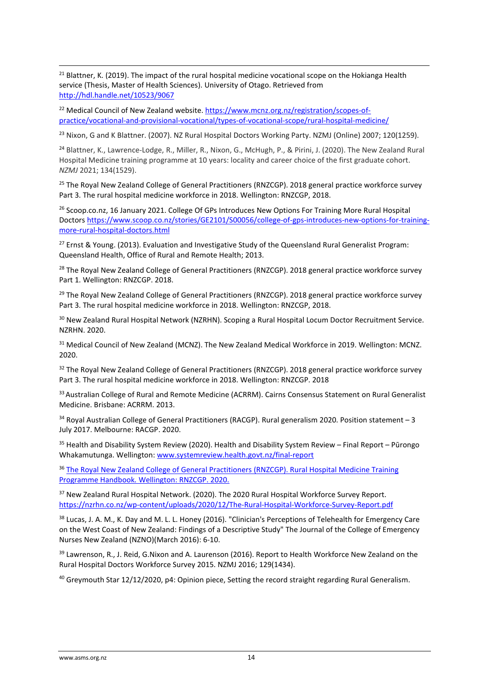<sup>21</sup> Blattner, K. (2019). The impact of the rural hospital medicine vocational scope on the Hokianga Health service (Thesis, Master of Health Sciences). University of Otago. Retrieved from <http://hdl.handle.net/10523/9067>

<sup>22</sup> Medical Council of New Zealand website. [https://www.mcnz.org.nz/registration/scopes-of](https://www.mcnz.org.nz/registration/scopes-of-practice/vocational-and-provisional-vocational/types-of-vocational-scope/rural-hospital-medicine/)[practice/vocational-and-provisional-vocational/types-of-vocational-scope/rural-hospital-medicine/](https://www.mcnz.org.nz/registration/scopes-of-practice/vocational-and-provisional-vocational/types-of-vocational-scope/rural-hospital-medicine/)

<sup>23</sup> Nixon, G and K Blattner. (2007). NZ Rural Hospital Doctors Working Party. NZMJ (Online) 2007; 120(1259).

<sup>24</sup> Blattner, K., Lawrence-Lodge, R., Miller, R., Nixon, G., McHugh, P., & Pirini, J. (2020). The New Zealand Rural Hospital Medicine training programme at 10 years: locality and career choice of the first graduate cohort. *NZMJ* 2021; 134(1529).

<sup>25</sup> The Royal New Zealand College of General Practitioners (RNZCGP). 2018 general practice workforce survey Part 3. The rural hospital medicine workforce in 2018. Wellington: RNZCGP, 2018.

<span id="page-13-0"></span><sup>26</sup> Scoop.co.nz, 16 January 2021. College Of GPs Introduces New Options For Training More Rural Hospital Doctors [https://www.scoop.co.nz/stories/GE2101/S00056/college-of-gps-introduces-new-options-for-training](https://www.scoop.co.nz/stories/GE2101/S00056/college-of-gps-introduces-new-options-for-training-more-rural-hospital-doctors.html)[more-rural-hospital-doctors.html](https://www.scoop.co.nz/stories/GE2101/S00056/college-of-gps-introduces-new-options-for-training-more-rural-hospital-doctors.html)

<span id="page-13-1"></span><sup>27</sup> Ernst & Young. (2013). Evaluation and Investigative Study of the Queensland Rural Generalist Program: Queensland Health, Office of Rural and Remote Health; 2013.

<span id="page-13-2"></span><sup>28</sup> The Royal New Zealand College of General Practitioners (RNZCGP). 2018 general practice workforce survey Part 1. Wellington: RNZCGP. 2018.

<span id="page-13-3"></span><sup>29</sup> The Royal New Zealand College of General Practitioners (RNZCGP). 2018 general practice workforce survey Part 3. The rural hospital medicine workforce in 2018. Wellington: RNZCGP, 2018.

<span id="page-13-4"></span><sup>30</sup> New Zealand Rural Hospital Network (NZRHN). Scoping a Rural Hospital Locum Doctor Recruitment Service. NZRHN. 2020.

<sup>31</sup> Medical Council of New Zealand (MCNZ). The New Zealand Medical Workforce in 2019. Wellington: MCNZ. 2020.

<sup>32</sup> The Royal New Zealand College of General Practitioners (RNZCGP). 2018 general practice workforce survey Part 3. The rural hospital medicine workforce in 2018. Wellington: RNZCGP. 2018

33 Australian College of Rural and Remote Medicine (ACRRM). Cairns Consensus Statement on Rural Generalist Medicine. Brisbane: ACRRM. 2013.

<sup>34</sup> Royal Australian College of General Practitioners (RACGP). Rural generalism 2020. Position statement - 3 July 2017. Melbourne: RACGP. 2020.

<sup>35</sup> Health and Disability System Review (2020). Health and Disability System Review – Final Report – Pūrongo Whakamutunga. Wellington: [www.systemreview.health.govt.nz/final-report](http://www.systemreview.health.govt.nz/final-report)

<sup>36</sup> The Royal New Zealand College of General Practitioners (RNZCGP). Rural Hospital Medicine Training Programme Handbook*.* Wellington: RNZCGP. 2020.

<sup>37</sup> New Zealand Rural Hospital Network. (2020). The 2020 Rural Hospital Workforce Survey Report. <https://nzrhn.co.nz/wp-content/uploads/2020/12/The-Rural-Hospital-Workforce-Survey-Report.pdf>

38 Lucas, J. A. M., K. Day and M. L. L. Honey (2016). "Clinician's Perceptions of Telehealth for Emergency Care on the West Coast of New Zealand: Findings of a Descriptive Study" The Journal of the College of Emergency Nurses New Zealand (NZNO)(March 2016): 6-10.

<sup>39</sup> Lawrenson, R., J. Reid, G.Nixon and A. Laurenson (2016). Report to Health Workforce New Zealand on the Rural Hospital Doctors Workforce Survey 2015. NZMJ 2016; 129(1434).

<sup>40</sup> Greymouth Star 12/12/2020, p4: Opinion piece, Setting the record straight regarding Rural Generalism.